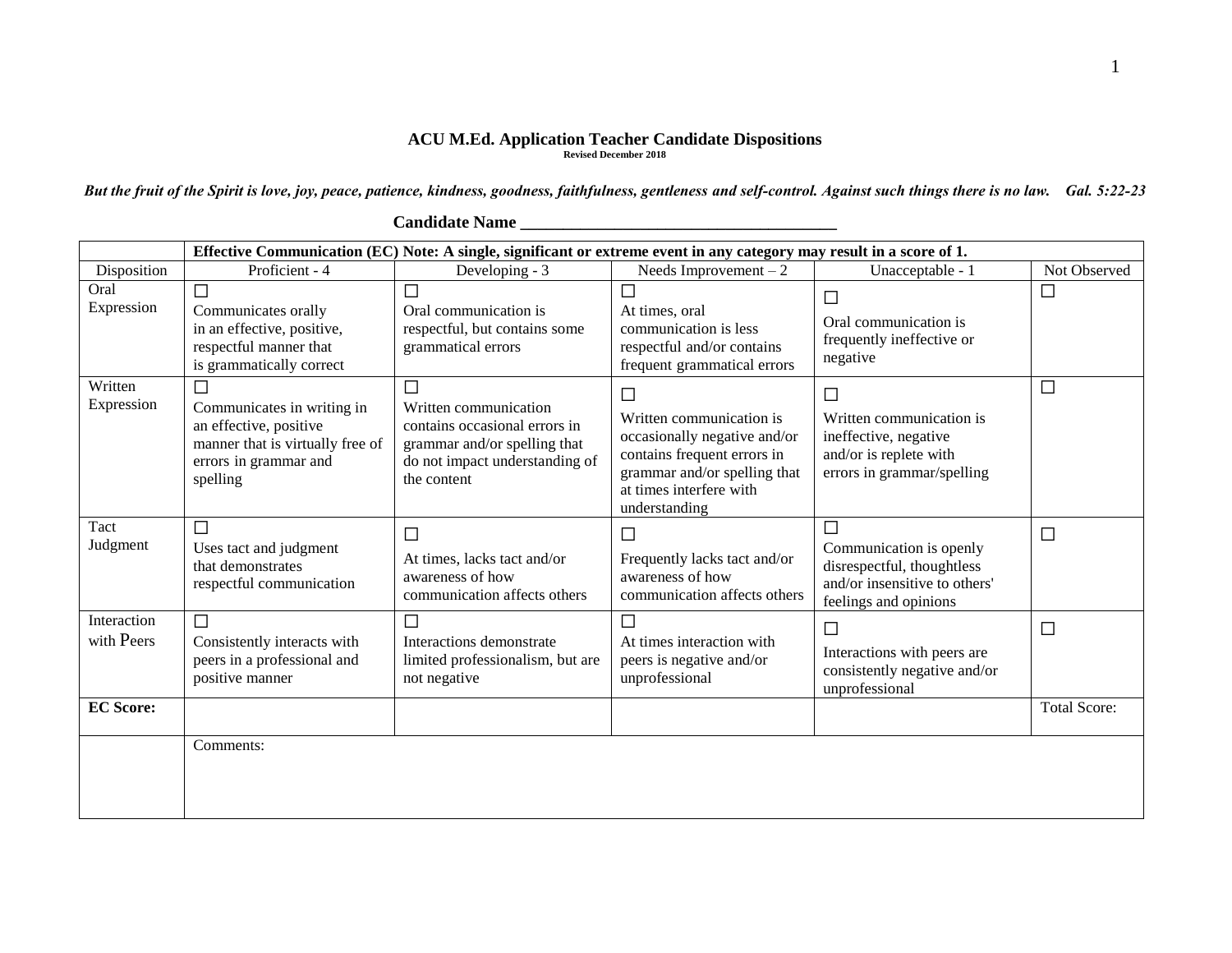## **ACU M.Ed. Application Teacher Candidate Dispositions Revised December 2018**

*But the fruit of the Spirit is love, joy, peace, patience, kindness, goodness, faithfulness, gentleness and self-control. Against such things there is no law. Gal. 5:22-23*

|                           | Effective Communication (EC) Note: A single, significant or extreme event in any category may result in a score of 1.         |                                                                                                                                              |                                                                                                                                                                          |                                                                                                                      |                     |  |
|---------------------------|-------------------------------------------------------------------------------------------------------------------------------|----------------------------------------------------------------------------------------------------------------------------------------------|--------------------------------------------------------------------------------------------------------------------------------------------------------------------------|----------------------------------------------------------------------------------------------------------------------|---------------------|--|
| Disposition               | Proficient - 4                                                                                                                | Developing - 3                                                                                                                               | Needs Improvement $-2$                                                                                                                                                   | Unacceptable - 1                                                                                                     | Not Observed        |  |
| Oral<br>Expression        | $\Box$<br>Communicates orally<br>in an effective, positive,<br>respectful manner that<br>is grammatically correct             | $\Box$<br>Oral communication is<br>respectful, but contains some<br>grammatical errors                                                       | □<br>At times, oral<br>communication is less<br>respectful and/or contains<br>frequent grammatical errors                                                                | □<br>Oral communication is<br>frequently ineffective or<br>negative                                                  | $\Box$              |  |
| Written<br>Expression     | Communicates in writing in<br>an effective, positive<br>manner that is virtually free of<br>errors in grammar and<br>spelling | П<br>Written communication<br>contains occasional errors in<br>grammar and/or spelling that<br>do not impact understanding of<br>the content | □<br>Written communication is<br>occasionally negative and/or<br>contains frequent errors in<br>grammar and/or spelling that<br>at times interfere with<br>understanding | $\Box$<br>Written communication is<br>ineffective, negative<br>and/or is replete with<br>errors in grammar/spelling  | $\Box$              |  |
| Tact<br>Judgment          | □<br>Uses tact and judgment<br>that demonstrates<br>respectful communication                                                  | $\Box$<br>At times, lacks tact and/or<br>awareness of how<br>communication affects others                                                    | $\Box$<br>Frequently lacks tact and/or<br>awareness of how<br>communication affects others                                                                               | П<br>Communication is openly<br>disrespectful, thoughtless<br>and/or insensitive to others'<br>feelings and opinions | $\Box$              |  |
| Interaction<br>with Peers | П<br>Consistently interacts with<br>peers in a professional and<br>positive manner                                            | T.<br>Interactions demonstrate<br>limited professionalism, but are<br>not negative                                                           | At times interaction with<br>peers is negative and/or<br>unprofessional                                                                                                  | $\Box$<br>Interactions with peers are<br>consistently negative and/or<br>unprofessional                              | $\Box$              |  |
| <b>EC Score:</b>          |                                                                                                                               |                                                                                                                                              |                                                                                                                                                                          |                                                                                                                      | <b>Total Score:</b> |  |
|                           | Comments:                                                                                                                     |                                                                                                                                              |                                                                                                                                                                          |                                                                                                                      |                     |  |

## **Candidate Name \_\_\_\_\_\_\_\_\_\_\_\_\_\_\_\_\_\_\_\_\_\_\_\_\_\_\_\_\_\_\_\_\_\_\_\_\_**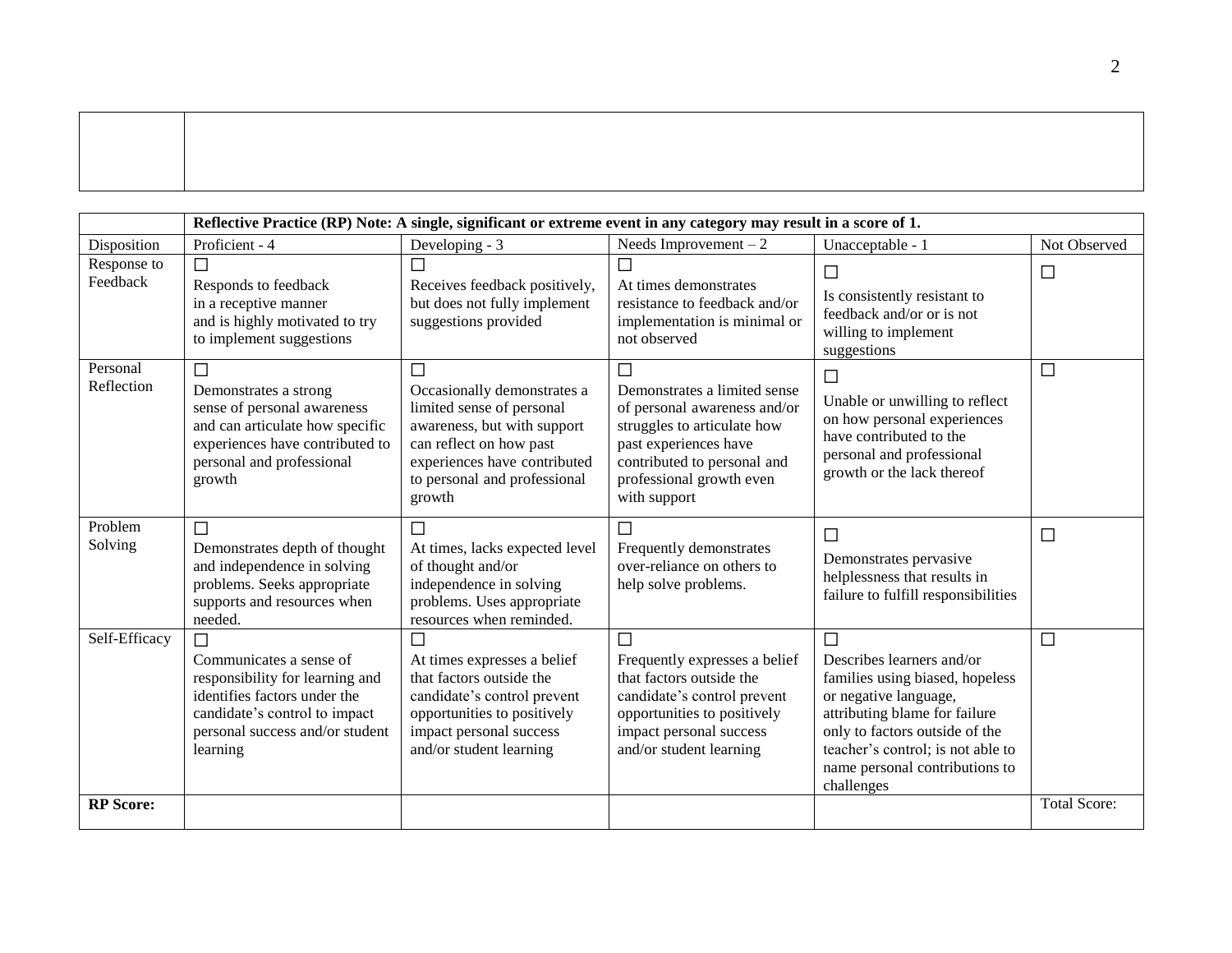|                         | Reflective Practice (RP) Note: A single, significant or extreme event in any category may result in a score of 1.                                                                    |                                                                                                                                                                                                   |                                                                                                                                                                                                           |                                                                                                                                                                                                                                                         |                     |  |
|-------------------------|--------------------------------------------------------------------------------------------------------------------------------------------------------------------------------------|---------------------------------------------------------------------------------------------------------------------------------------------------------------------------------------------------|-----------------------------------------------------------------------------------------------------------------------------------------------------------------------------------------------------------|---------------------------------------------------------------------------------------------------------------------------------------------------------------------------------------------------------------------------------------------------------|---------------------|--|
| Disposition             | Proficient - 4                                                                                                                                                                       | Developing - 3                                                                                                                                                                                    | Needs Improvement $-2$                                                                                                                                                                                    | Unacceptable - 1                                                                                                                                                                                                                                        | Not Observed        |  |
| Response to<br>Feedback | П<br>Responds to feedback<br>in a receptive manner<br>and is highly motivated to try<br>to implement suggestions                                                                     | $\mathcal{L}_{\mathcal{A}}$<br>Receives feedback positively,<br>but does not fully implement<br>suggestions provided                                                                              | П<br>At times demonstrates<br>resistance to feedback and/or<br>implementation is minimal or<br>not observed                                                                                               | $\Box$<br>Is consistently resistant to<br>feedback and/or or is not<br>willing to implement<br>suggestions                                                                                                                                              | $\Box$              |  |
| Personal<br>Reflection  | $\Box$<br>Demonstrates a strong<br>sense of personal awareness<br>and can articulate how specific<br>experiences have contributed to<br>personal and professional<br>growth          | П<br>Occasionally demonstrates a<br>limited sense of personal<br>awareness, but with support<br>can reflect on how past<br>experiences have contributed<br>to personal and professional<br>growth | $\Box$<br>Demonstrates a limited sense<br>of personal awareness and/or<br>struggles to articulate how<br>past experiences have<br>contributed to personal and<br>professional growth even<br>with support | $\Box$<br>Unable or unwilling to reflect<br>on how personal experiences<br>have contributed to the<br>personal and professional<br>growth or the lack thereof                                                                                           | $\Box$              |  |
| Problem<br>Solving      | $\Box$<br>Demonstrates depth of thought<br>and independence in solving<br>problems. Seeks appropriate<br>supports and resources when<br>needed.                                      | $\Box$<br>At times, lacks expected level<br>of thought and/or<br>independence in solving<br>problems. Uses appropriate<br>resources when reminded.                                                | $\Box$<br>Frequently demonstrates<br>over-reliance on others to<br>help solve problems.                                                                                                                   | $\Box$<br>Demonstrates pervasive<br>helplessness that results in<br>failure to fulfill responsibilities                                                                                                                                                 | $\Box$              |  |
| Self-Efficacy           | $\Box$<br>Communicates a sense of<br>responsibility for learning and<br>identifies factors under the<br>candidate's control to impact<br>personal success and/or student<br>learning | $\Box$<br>At times expresses a belief<br>that factors outside the<br>candidate's control prevent<br>opportunities to positively<br>impact personal success<br>and/or student learning             | $\Box$<br>Frequently expresses a belief<br>that factors outside the<br>candidate's control prevent<br>opportunities to positively<br>impact personal success<br>and/or student learning                   | $\Box$<br>Describes learners and/or<br>families using biased, hopeless<br>or negative language,<br>attributing blame for failure<br>only to factors outside of the<br>teacher's control; is not able to<br>name personal contributions to<br>challenges | $\Box$              |  |
| <b>RP</b> Score:        |                                                                                                                                                                                      |                                                                                                                                                                                                   |                                                                                                                                                                                                           |                                                                                                                                                                                                                                                         | <b>Total Score:</b> |  |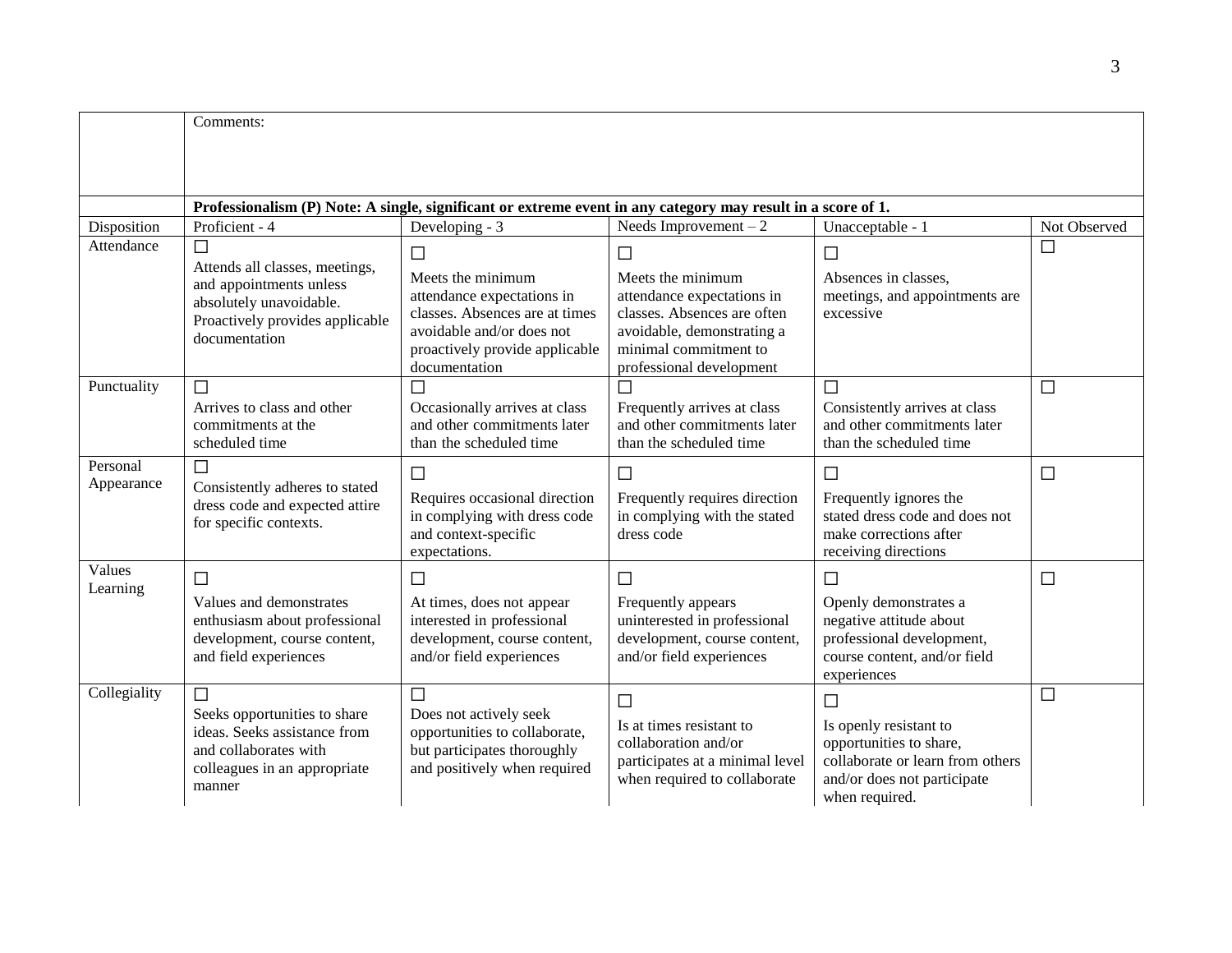|              | Comments:                                                                                                    |                                                               |                                                               |                                                          |              |  |  |
|--------------|--------------------------------------------------------------------------------------------------------------|---------------------------------------------------------------|---------------------------------------------------------------|----------------------------------------------------------|--------------|--|--|
|              |                                                                                                              |                                                               |                                                               |                                                          |              |  |  |
|              |                                                                                                              |                                                               |                                                               |                                                          |              |  |  |
|              | Professionalism (P) Note: A single, significant or extreme event in any category may result in a score of 1. |                                                               |                                                               |                                                          |              |  |  |
| Disposition  | Proficient - 4                                                                                               | Developing - 3                                                | Needs Improvement $-2$                                        | Unacceptable - 1                                         | Not Observed |  |  |
| Attendance   | $\Box$                                                                                                       | $\Box$                                                        | $\Box$                                                        | $\Box$                                                   | $\Box$       |  |  |
|              | Attends all classes, meetings,<br>and appointments unless                                                    | Meets the minimum<br>attendance expectations in               | Meets the minimum<br>attendance expectations in               | Absences in classes,<br>meetings, and appointments are   |              |  |  |
|              | absolutely unavoidable.<br>Proactively provides applicable                                                   | classes. Absences are at times                                | classes. Absences are often                                   | excessive                                                |              |  |  |
|              | documentation                                                                                                | avoidable and/or does not                                     | avoidable, demonstrating a                                    |                                                          |              |  |  |
|              |                                                                                                              | proactively provide applicable<br>documentation               | minimal commitment to<br>professional development             |                                                          |              |  |  |
| Punctuality  | $\Box$                                                                                                       | $\Box$                                                        | $\Box$                                                        | $\Box$                                                   | $\Box$       |  |  |
|              | Arrives to class and other                                                                                   | Occasionally arrives at class                                 | Frequently arrives at class                                   | Consistently arrives at class                            |              |  |  |
|              | commitments at the<br>scheduled time                                                                         | and other commitments later<br>than the scheduled time        | and other commitments later<br>than the scheduled time        | and other commitments later<br>than the scheduled time   |              |  |  |
| Personal     | $\Box$                                                                                                       |                                                               |                                                               |                                                          |              |  |  |
| Appearance   | Consistently adheres to stated                                                                               | $\Box$                                                        | $\Box$                                                        | $\Box$                                                   | $\Box$       |  |  |
|              | dress code and expected attire                                                                               | Requires occasional direction<br>in complying with dress code | Frequently requires direction<br>in complying with the stated | Frequently ignores the<br>stated dress code and does not |              |  |  |
|              | for specific contexts.                                                                                       | and context-specific                                          | dress code                                                    | make corrections after                                   |              |  |  |
| Values       |                                                                                                              | expectations.                                                 |                                                               | receiving directions                                     |              |  |  |
| Learning     | $\Box$                                                                                                       | $\Box$                                                        | $\Box$                                                        | $\Box$                                                   | □            |  |  |
|              | Values and demonstrates                                                                                      | At times, does not appear                                     | Frequently appears                                            | Openly demonstrates a                                    |              |  |  |
|              | enthusiasm about professional<br>development, course content,                                                | interested in professional<br>development, course content,    | uninterested in professional<br>development, course content,  | negative attitude about<br>professional development,     |              |  |  |
|              | and field experiences                                                                                        | and/or field experiences                                      | and/or field experiences                                      | course content, and/or field                             |              |  |  |
| Collegiality | $\Box$                                                                                                       | $\Box$                                                        |                                                               | experiences                                              |              |  |  |
|              | Seeks opportunities to share                                                                                 | Does not actively seek                                        | $\Box$                                                        | $\Box$                                                   | $\Box$       |  |  |
|              | ideas. Seeks assistance from                                                                                 | opportunities to collaborate,                                 | Is at times resistant to<br>collaboration and/or              | Is openly resistant to<br>opportunities to share,        |              |  |  |
|              | and collaborates with                                                                                        | but participates thoroughly                                   | participates at a minimal level                               | collaborate or learn from others                         |              |  |  |
|              | colleagues in an appropriate<br>manner                                                                       | and positively when required                                  | when required to collaborate                                  | and/or does not participate                              |              |  |  |
|              |                                                                                                              |                                                               |                                                               | when required.                                           |              |  |  |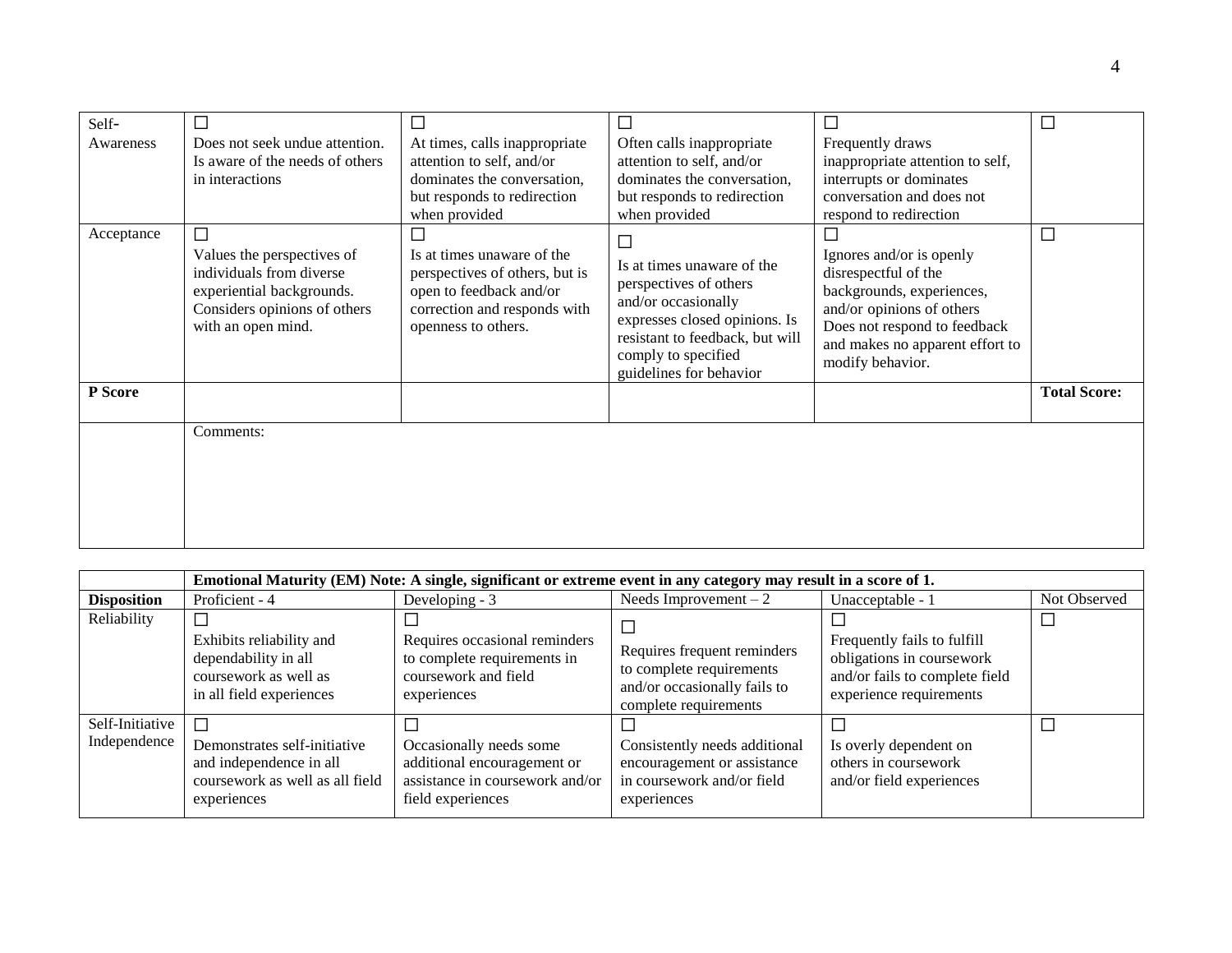| Self-<br>Awareness | Does not seek undue attention.<br>Is aware of the needs of others<br>in interactions                                                      | l.<br>At times, calls inappropriate<br>attention to self, and/or<br>dominates the conversation,<br>but responds to redirection<br>when provided                            | $\Box$<br>Often calls inappropriate<br>attention to self, and/or<br>dominates the conversation,<br>but responds to redirection<br>when provided                                                             | Frequently draws<br>inappropriate attention to self,<br>interrupts or dominates<br>conversation and does not<br>respond to redirection                                                            |                     |
|--------------------|-------------------------------------------------------------------------------------------------------------------------------------------|----------------------------------------------------------------------------------------------------------------------------------------------------------------------------|-------------------------------------------------------------------------------------------------------------------------------------------------------------------------------------------------------------|---------------------------------------------------------------------------------------------------------------------------------------------------------------------------------------------------|---------------------|
| Acceptance         | Values the perspectives of<br>individuals from diverse<br>experiential backgrounds.<br>Considers opinions of others<br>with an open mind. | $\overline{\phantom{a}}$<br>Is at times unaware of the<br>perspectives of others, but is<br>open to feedback and/or<br>correction and responds with<br>openness to others. | $\Box$<br>Is at times unaware of the<br>perspectives of others<br>and/or occasionally<br>expresses closed opinions. Is<br>resistant to feedback, but will<br>comply to specified<br>guidelines for behavior | Ignores and/or is openly<br>disrespectful of the<br>backgrounds, experiences,<br>and/or opinions of others<br>Does not respond to feedback<br>and makes no apparent effort to<br>modify behavior. | $\Box$              |
| P Score            |                                                                                                                                           |                                                                                                                                                                            |                                                                                                                                                                                                             |                                                                                                                                                                                                   | <b>Total Score:</b> |
|                    | Comments:                                                                                                                                 |                                                                                                                                                                            |                                                                                                                                                                                                             |                                                                                                                                                                                                   |                     |

|                                 | Emotional Maturity (EM) Note: A single, significant or extreme event in any category may result in a score of 1.    |                                                                                                                |                                                                                                                  |                                                                                                                       |              |  |
|---------------------------------|---------------------------------------------------------------------------------------------------------------------|----------------------------------------------------------------------------------------------------------------|------------------------------------------------------------------------------------------------------------------|-----------------------------------------------------------------------------------------------------------------------|--------------|--|
| <b>Disposition</b>              | Proficient - 4                                                                                                      | Developing - 3                                                                                                 | Needs Improvement $-2$                                                                                           | Unacceptable - 1                                                                                                      | Not Observed |  |
| Reliability                     | Exhibits reliability and<br>dependability in all<br>coursework as well as<br>in all field experiences               | Requires occasional reminders<br>to complete requirements in<br>coursework and field<br>experiences            | Requires frequent reminders<br>to complete requirements<br>and/or occasionally fails to<br>complete requirements | Frequently fails to fulfill<br>obligations in coursework<br>and/or fails to complete field<br>experience requirements |              |  |
| Self-Initiative<br>Independence | $\Box$<br>Demonstrates self-initiative<br>and independence in all<br>coursework as well as all field<br>experiences | Occasionally needs some<br>additional encouragement or<br>assistance in coursework and/or<br>field experiences | Consistently needs additional<br>encouragement or assistance<br>in coursework and/or field<br>experiences        | Is overly dependent on<br>others in coursework<br>and/or field experiences                                            |              |  |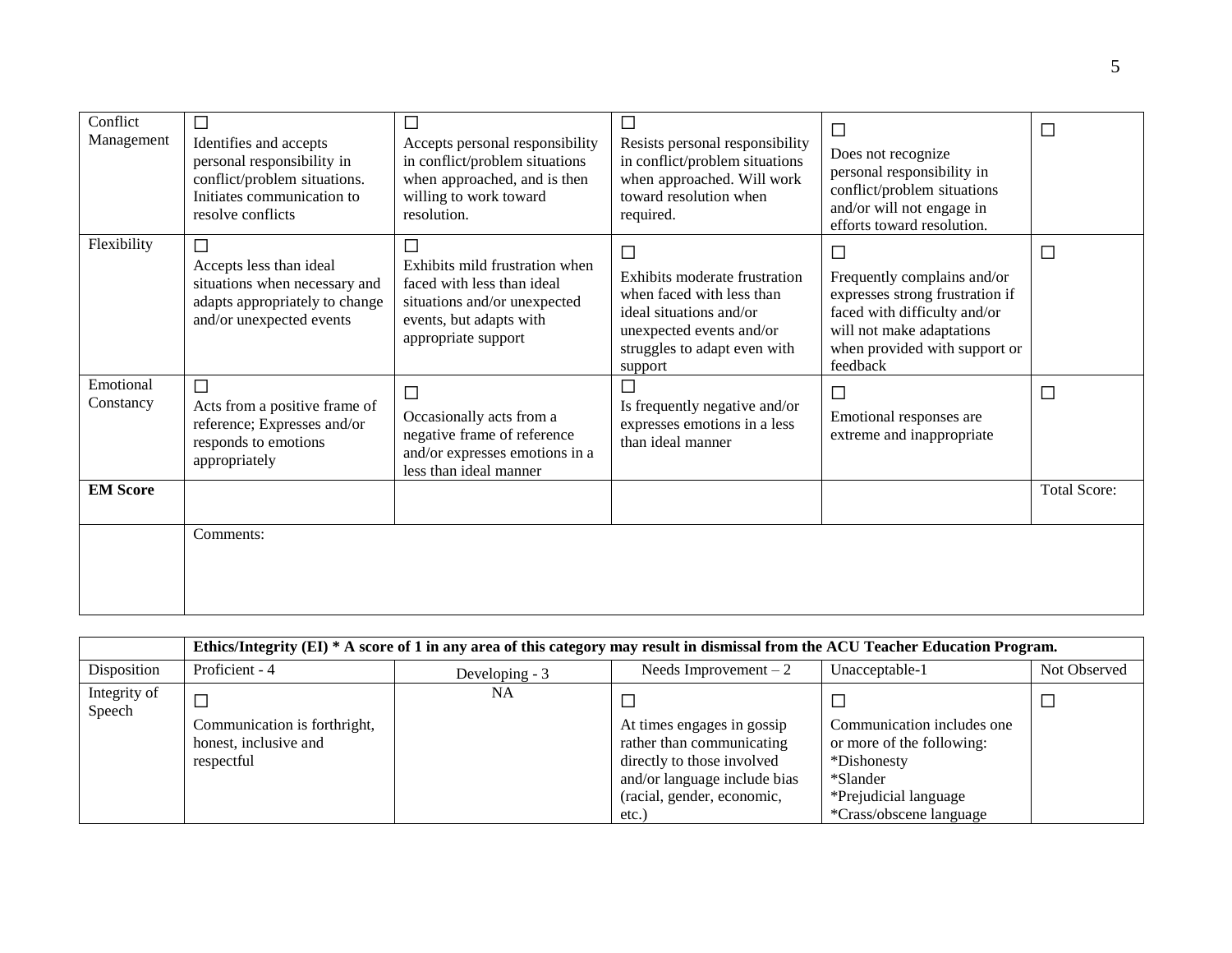| Conflict<br>Management | Identifies and accepts<br>personal responsibility in<br>conflict/problem situations.<br>Initiates communication to<br>resolve conflicts | Accepts personal responsibility<br>in conflict/problem situations<br>when approached, and is then<br>willing to work toward<br>resolution.               | Resists personal responsibility<br>in conflict/problem situations<br>when approached. Will work<br>toward resolution when<br>required.                            | □<br>Does not recognize<br>personal responsibility in<br>conflict/problem situations<br>and/or will not engage in<br>efforts toward resolution.                                | $\Box$              |
|------------------------|-----------------------------------------------------------------------------------------------------------------------------------------|----------------------------------------------------------------------------------------------------------------------------------------------------------|-------------------------------------------------------------------------------------------------------------------------------------------------------------------|--------------------------------------------------------------------------------------------------------------------------------------------------------------------------------|---------------------|
| Flexibility            | П<br>Accepts less than ideal<br>situations when necessary and<br>adapts appropriately to change<br>and/or unexpected events             | $\Box$<br>Exhibits mild frustration when<br>faced with less than ideal<br>situations and/or unexpected<br>events, but adapts with<br>appropriate support | ⊏<br>Exhibits moderate frustration<br>when faced with less than<br>ideal situations and/or<br>unexpected events and/or<br>struggles to adapt even with<br>support | H.<br>Frequently complains and/or<br>expresses strong frustration if<br>faced with difficulty and/or<br>will not make adaptations<br>when provided with support or<br>feedback | $\Box$              |
| Emotional<br>Constancy | П<br>Acts from a positive frame of<br>reference; Expresses and/or<br>responds to emotions<br>appropriately                              | $\Box$<br>Occasionally acts from a<br>negative frame of reference<br>and/or expresses emotions in a<br>less than ideal manner                            | Is frequently negative and/or<br>expresses emotions in a less<br>than ideal manner                                                                                | $\Box$<br>Emotional responses are<br>extreme and inappropriate                                                                                                                 | $\Box$              |
| <b>EM Score</b>        |                                                                                                                                         |                                                                                                                                                          |                                                                                                                                                                   |                                                                                                                                                                                | <b>Total Score:</b> |
|                        | Comments:                                                                                                                               |                                                                                                                                                          |                                                                                                                                                                   |                                                                                                                                                                                |                     |

|                        | Ethics/Integrity (EI) * A score of 1 in any area of this category may result in dismissal from the ACU Teacher Education Program. |                |                                                                                                                                                             |                                                                                                                                               |              |  |
|------------------------|-----------------------------------------------------------------------------------------------------------------------------------|----------------|-------------------------------------------------------------------------------------------------------------------------------------------------------------|-----------------------------------------------------------------------------------------------------------------------------------------------|--------------|--|
| Disposition            | Proficient - 4                                                                                                                    | Developing - 3 | Needs Improvement $-2$                                                                                                                                      | Unacceptable-1                                                                                                                                | Not Observed |  |
| Integrity of<br>Speech |                                                                                                                                   | NA.            |                                                                                                                                                             |                                                                                                                                               |              |  |
|                        | Communication is forthright,<br>honest, inclusive and<br>respectful                                                               |                | At times engages in gossip<br>rather than communicating<br>directly to those involved<br>and/or language include bias<br>(racial, gender, economic,<br>etc. | Communication includes one<br>or more of the following:<br>*Dishonesty<br>*Slander<br>*Prejudicial language<br><i>*Crass/obscene language</i> |              |  |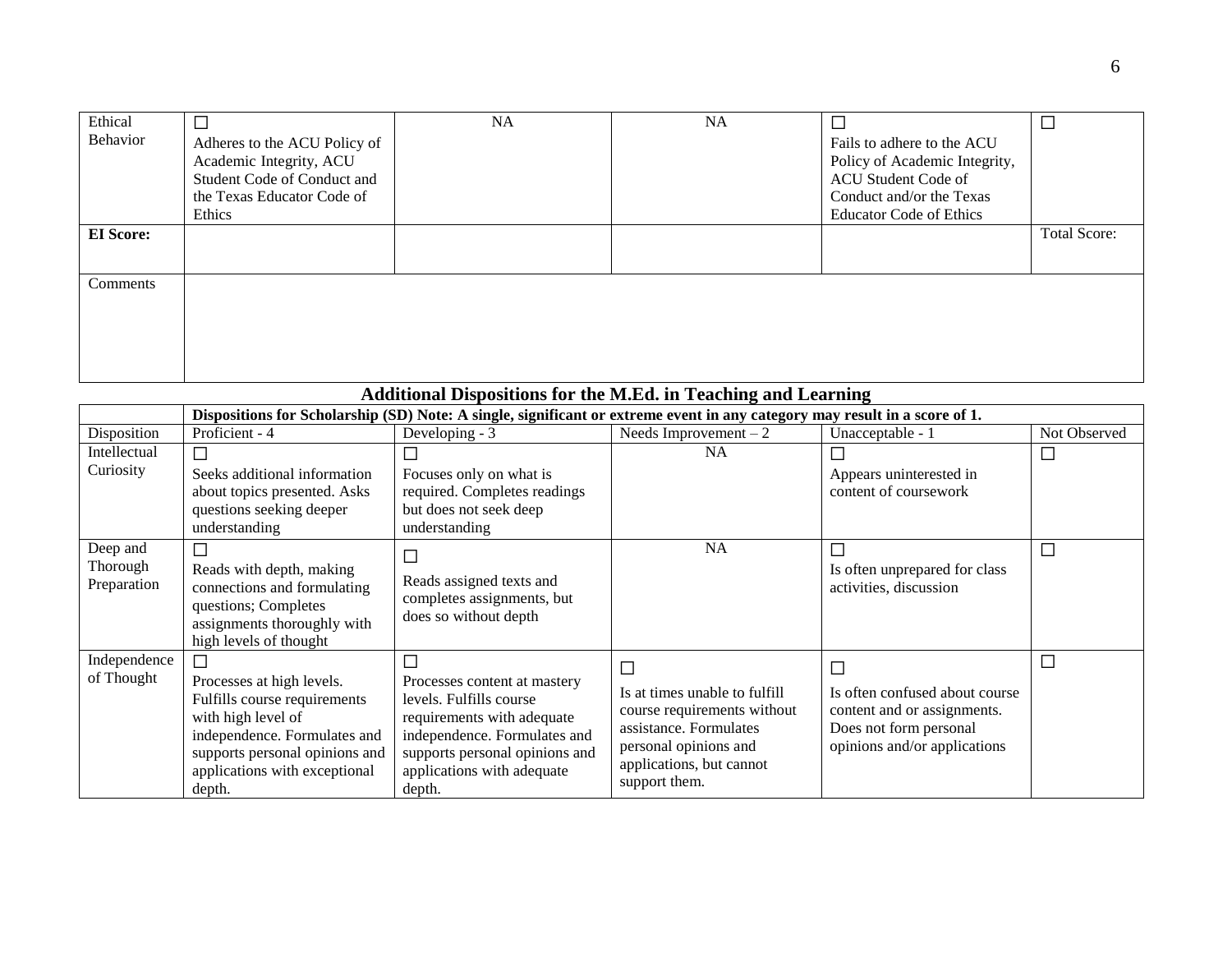| Ethical<br>Behavior | ⊏<br>Adheres to the ACU Policy of<br>Academic Integrity, ACU | <b>NA</b> | <b>NA</b> | Fails to adhere to the ACU<br>Policy of Academic Integrity, | $\Box$              |
|---------------------|--------------------------------------------------------------|-----------|-----------|-------------------------------------------------------------|---------------------|
|                     | Student Code of Conduct and                                  |           |           | ACU Student Code of                                         |                     |
|                     | the Texas Educator Code of<br>Ethics                         |           |           | Conduct and/or the Texas<br><b>Educator Code of Ethics</b>  |                     |
| <b>EI</b> Score:    |                                                              |           |           |                                                             | <b>Total Score:</b> |
|                     |                                                              |           |           |                                                             |                     |
| Comments            |                                                              |           |           |                                                             |                     |
|                     |                                                              |           |           |                                                             |                     |
|                     |                                                              |           |           |                                                             |                     |
|                     |                                                              |           |           |                                                             |                     |

| Additional Dispositions for the M.Ed. in Teaching and Learning |                                                                                                                                                                                                   |                                                                                                                                                                                                      |                                                                                                                                                                        |                                                                                                                              |              |  |
|----------------------------------------------------------------|---------------------------------------------------------------------------------------------------------------------------------------------------------------------------------------------------|------------------------------------------------------------------------------------------------------------------------------------------------------------------------------------------------------|------------------------------------------------------------------------------------------------------------------------------------------------------------------------|------------------------------------------------------------------------------------------------------------------------------|--------------|--|
|                                                                |                                                                                                                                                                                                   | Dispositions for Scholarship (SD) Note: A single, significant or extreme event in any category may result in a score of 1.                                                                           |                                                                                                                                                                        |                                                                                                                              |              |  |
| Disposition                                                    | Proficient - 4                                                                                                                                                                                    | Developing - 3                                                                                                                                                                                       | Needs Improvement $-2$                                                                                                                                                 | Unacceptable - 1                                                                                                             | Not Observed |  |
| Intellectual<br>Curiosity                                      | П<br>Seeks additional information<br>about topics presented. Asks<br>questions seeking deeper<br>understanding                                                                                    | Focuses only on what is<br>required. Completes readings<br>but does not seek deep<br>understanding                                                                                                   | <b>NA</b>                                                                                                                                                              | Appears uninterested in<br>content of coursework                                                                             |              |  |
| Deep and<br>Thorough<br>Preparation                            | Г<br>Reads with depth, making<br>connections and formulating<br>questions; Completes<br>assignments thoroughly with<br>high levels of thought                                                     | $\Box$<br>Reads assigned texts and<br>completes assignments, but<br>does so without depth                                                                                                            | NA                                                                                                                                                                     | Is often unprepared for class<br>activities, discussion                                                                      | $\Box$       |  |
| Independence<br>of Thought                                     | П<br>Processes at high levels.<br>Fulfills course requirements<br>with high level of<br>independence. Formulates and<br>supports personal opinions and<br>applications with exceptional<br>depth. | П<br>Processes content at mastery<br>levels. Fulfills course<br>requirements with adequate<br>independence. Formulates and<br>supports personal opinions and<br>applications with adequate<br>depth. | $\Box$<br>Is at times unable to fulfill<br>course requirements without<br>assistance. Formulates<br>personal opinions and<br>applications, but cannot<br>support them. | П<br>Is often confused about course<br>content and or assignments.<br>Does not form personal<br>opinions and/or applications | $\Box$       |  |